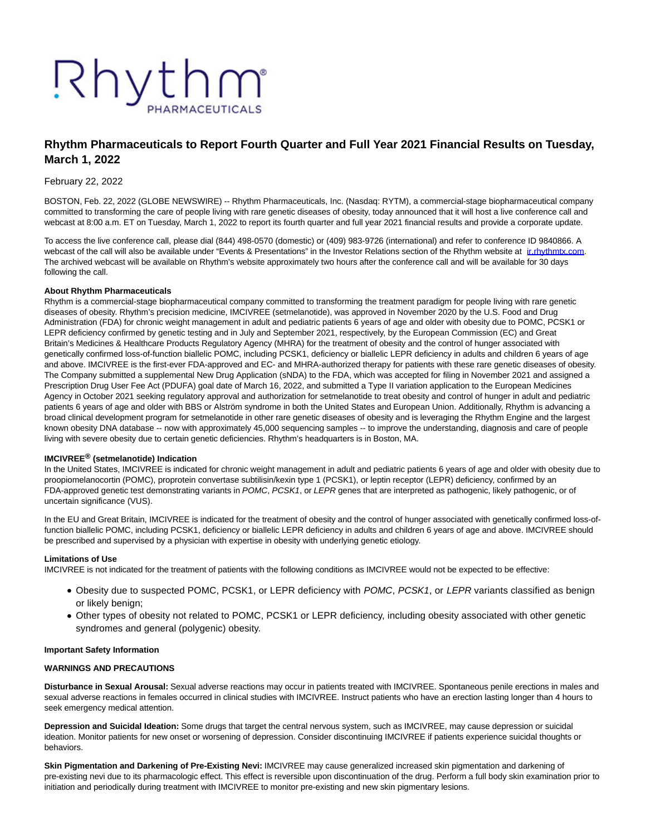# Rhythm PHARMACEUTICALS

# **Rhythm Pharmaceuticals to Report Fourth Quarter and Full Year 2021 Financial Results on Tuesday, March 1, 2022**

## February 22, 2022

BOSTON, Feb. 22, 2022 (GLOBE NEWSWIRE) -- Rhythm Pharmaceuticals, Inc. (Nasdaq: RYTM), a commercial-stage biopharmaceutical company committed to transforming the care of people living with rare genetic diseases of obesity, today announced that it will host a live conference call and webcast at 8:00 a.m. ET on Tuesday, March 1, 2022 to report its fourth quarter and full year 2021 financial results and provide a corporate update.

To access the live conference call, please dial (844) 498-0570 (domestic) or (409) 983-9726 (international) and refer to conference ID 9840866. A webcast of the call will also be available under "Events & Presentations" in the Investor Relations section of the Rhythm website at inthythmtx.com. The archived webcast will be available on Rhythm's website approximately two hours after the conference call and will be available for 30 days following the call.

#### **About Rhythm Pharmaceuticals**

Rhythm is a commercial-stage biopharmaceutical company committed to transforming the treatment paradigm for people living with rare genetic diseases of obesity. Rhythm's precision medicine, IMCIVREE (setmelanotide), was approved in November 2020 by the U.S. Food and Drug Administration (FDA) for chronic weight management in adult and pediatric patients 6 years of age and older with obesity due to POMC, PCSK1 or LEPR deficiency confirmed by genetic testing and in July and September 2021, respectively, by the European Commission (EC) and Great Britain's Medicines & Healthcare Products Regulatory Agency (MHRA) for the treatment of obesity and the control of hunger associated with genetically confirmed loss-of-function biallelic POMC, including PCSK1, deficiency or biallelic LEPR deficiency in adults and children 6 years of age and above. IMCIVREE is the first-ever FDA-approved and EC- and MHRA-authorized therapy for patients with these rare genetic diseases of obesity. The Company submitted a supplemental New Drug Application (sNDA) to the FDA, which was accepted for filing in November 2021 and assigned a Prescription Drug User Fee Act (PDUFA) goal date of March 16, 2022, and submitted a Type II variation application to the European Medicines Agency in October 2021 seeking regulatory approval and authorization for setmelanotide to treat obesity and control of hunger in adult and pediatric patients 6 years of age and older with BBS or Alström syndrome in both the United States and European Union. Additionally, Rhythm is advancing a broad clinical development program for setmelanotide in other rare genetic diseases of obesity and is leveraging the Rhythm Engine and the largest known obesity DNA database -- now with approximately 45,000 sequencing samples -- to improve the understanding, diagnosis and care of people living with severe obesity due to certain genetic deficiencies. Rhythm's headquarters is in Boston, MA.

## **IMCIVREE® (setmelanotide) Indication**

In the United States, IMCIVREE is indicated for chronic weight management in adult and pediatric patients 6 years of age and older with obesity due to proopiomelanocortin (POMC), proprotein convertase subtilisin/kexin type 1 (PCSK1), or leptin receptor (LEPR) deficiency, confirmed by an FDA-approved genetic test demonstrating variants in POMC, PCSK1, or LEPR genes that are interpreted as pathogenic, likely pathogenic, or of uncertain significance (VUS).

In the EU and Great Britain, IMCIVREE is indicated for the treatment of obesity and the control of hunger associated with genetically confirmed loss-offunction biallelic POMC, including PCSK1, deficiency or biallelic LEPR deficiency in adults and children 6 years of age and above. IMCIVREE should be prescribed and supervised by a physician with expertise in obesity with underlying genetic etiology.

#### **Limitations of Use**

IMCIVREE is not indicated for the treatment of patients with the following conditions as IMCIVREE would not be expected to be effective:

- Obesity due to suspected POMC, PCSK1, or LEPR deficiency with POMC, PCSK1, or LEPR variants classified as benign or likely benign;
- Other types of obesity not related to POMC, PCSK1 or LEPR deficiency, including obesity associated with other genetic syndromes and general (polygenic) obesity.

#### **Important Safety Information**

#### **WARNINGS AND PRECAUTIONS**

**Disturbance in Sexual Arousal:** Sexual adverse reactions may occur in patients treated with IMCIVREE. Spontaneous penile erections in males and sexual adverse reactions in females occurred in clinical studies with IMCIVREE. Instruct patients who have an erection lasting longer than 4 hours to seek emergency medical attention.

**Depression and Suicidal Ideation:** Some drugs that target the central nervous system, such as IMCIVREE, may cause depression or suicidal ideation. Monitor patients for new onset or worsening of depression. Consider discontinuing IMCIVREE if patients experience suicidal thoughts or behaviors.

**Skin Pigmentation and Darkening of Pre-Existing Nevi:** IMCIVREE may cause generalized increased skin pigmentation and darkening of pre-existing nevi due to its pharmacologic effect. This effect is reversible upon discontinuation of the drug. Perform a full body skin examination prior to initiation and periodically during treatment with IMCIVREE to monitor pre-existing and new skin pigmentary lesions.